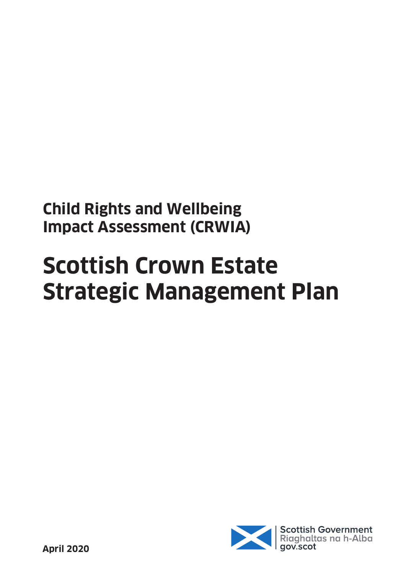**Child Rights and Wellbeing Impact Assessment (CRWIA)** 

# **Scottish Crown Estate Strategic Management Plan**

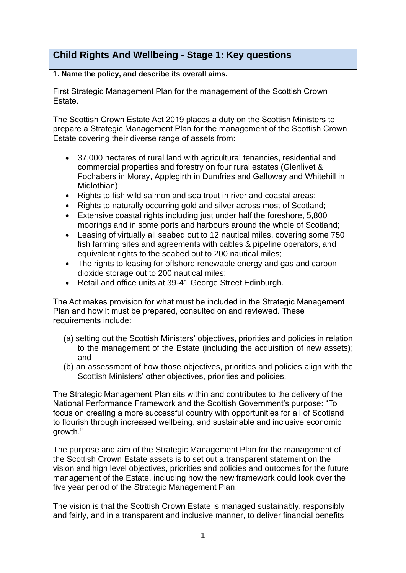### **Child Rights And Wellbeing - Stage 1: Key questions**

#### **1. Name the policy, and describe its overall aims.**

First Strategic Management Plan for the management of the Scottish Crown Estate.

The Scottish Crown Estate Act 2019 places a duty on the Scottish Ministers to prepare a Strategic Management Plan for the management of the Scottish Crown Estate covering their diverse range of assets from:

- 37,000 hectares of rural land with agricultural tenancies, residential and commercial properties and forestry on four rural estates (Glenlivet & Fochabers in Moray, Applegirth in Dumfries and Galloway and Whitehill in Midlothian);
- Rights to fish wild salmon and sea trout in river and coastal areas;
- Rights to naturally occurring gold and silver across most of Scotland;
- Extensive coastal rights including just under half the foreshore, 5,800 moorings and in some ports and harbours around the whole of Scotland;
- Leasing of virtually all seabed out to 12 nautical miles, covering some 750 fish farming sites and agreements with cables & pipeline operators, and equivalent rights to the seabed out to 200 nautical miles;
- The rights to leasing for offshore renewable energy and gas and carbon dioxide storage out to 200 nautical miles;
- Retail and office units at 39-41 George Street Edinburgh.

The Act makes provision for what must be included in the Strategic Management Plan and how it must be prepared, consulted on and reviewed. These requirements include:

- (a) setting out the Scottish Ministers' objectives, priorities and policies in relation to the management of the Estate (including the acquisition of new assets); and
- (b) an assessment of how those objectives, priorities and policies align with the Scottish Ministers' other objectives, priorities and policies.

The Strategic Management Plan sits within and contributes to the delivery of the National Performance Framework and the Scottish Government's purpose: "To focus on creating a more successful country with opportunities for all of Scotland to flourish through increased wellbeing, and sustainable and inclusive economic growth."

The purpose and aim of the Strategic Management Plan for the management of the Scottish Crown Estate assets is to set out a transparent statement on the vision and high level objectives, priorities and policies and outcomes for the future management of the Estate, including how the new framework could look over the five year period of the Strategic Management Plan.

The vision is that the Scottish Crown Estate is managed sustainably, responsibly and fairly, and in a transparent and inclusive manner, to deliver financial benefits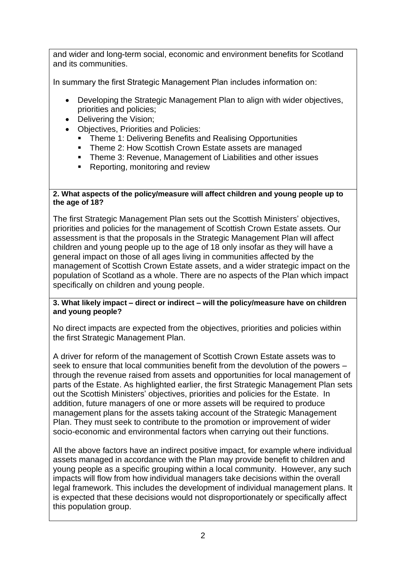and wider and long-term social, economic and environment benefits for Scotland and its communities.

In summary the first Strategic Management Plan includes information on:

- Developing the Strategic Management Plan to align with wider objectives, priorities and policies;
- Delivering the Vision;
- Objectives, Priorities and Policies:
	- **Theme 1: Delivering Benefits and Realising Opportunities**
	- Theme 2: How Scottish Crown Estate assets are managed
	- Theme 3: Revenue, Management of Liabilities and other issues
	- Reporting, monitoring and review

#### **2. What aspects of the policy/measure will affect children and young people up to the age of 18?**

The first Strategic Management Plan sets out the Scottish Ministers' objectives, priorities and policies for the management of Scottish Crown Estate assets. Our assessment is that the proposals in the Strategic Management Plan will affect children and young people up to the age of 18 only insofar as they will have a general impact on those of all ages living in communities affected by the management of Scottish Crown Estate assets, and a wider strategic impact on the population of Scotland as a whole. There are no aspects of the Plan which impact specifically on children and young people.

#### **3. What likely impact – direct or indirect – will the policy/measure have on children and young people?**

No direct impacts are expected from the objectives, priorities and policies within the first Strategic Management Plan.

A driver for reform of the management of Scottish Crown Estate assets was to seek to ensure that local communities benefit from the devolution of the powers – through the revenue raised from assets and opportunities for local management of parts of the Estate. As highlighted earlier, the first Strategic Management Plan sets out the Scottish Ministers' objectives, priorities and policies for the Estate. In addition, future managers of one or more assets will be required to produce management plans for the assets taking account of the Strategic Management Plan. They must seek to contribute to the promotion or improvement of wider socio-economic and environmental factors when carrying out their functions.

All the above factors have an indirect positive impact, for example where individual assets managed in accordance with the Plan may provide benefit to children and young people as a specific grouping within a local community. However, any such impacts will flow from how individual managers take decisions within the overall legal framework. This includes the development of individual management plans. It is expected that these decisions would not disproportionately or specifically affect this population group.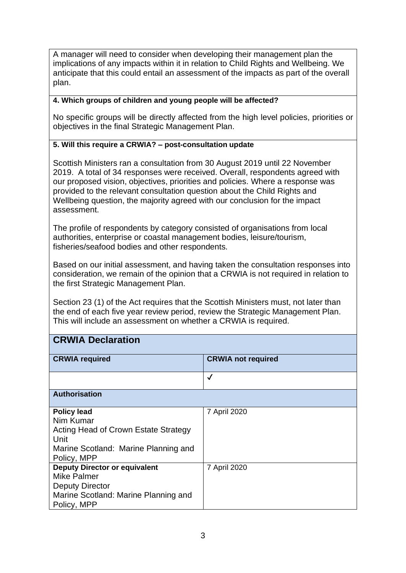A manager will need to consider when developing their management plan the implications of any impacts within it in relation to Child Rights and Wellbeing. We anticipate that this could entail an assessment of the impacts as part of the overall plan.

#### **4. Which groups of children and young people will be affected?**

No specific groups will be directly affected from the high level policies, priorities or objectives in the final Strategic Management Plan.

#### **5. Will this require a CRWIA? – post-consultation update**

Scottish Ministers ran a consultation from 30 August 2019 until 22 November 2019. A total of 34 responses were received. Overall, respondents agreed with our proposed vision, objectives, priorities and policies. Where a response was provided to the relevant consultation question about the Child Rights and Wellbeing question, the majority agreed with our conclusion for the impact assessment.

The profile of respondents by category consisted of organisations from local authorities, enterprise or coastal management bodies, leisure/tourism, fisheries/seafood bodies and other respondents.

Based on our initial assessment, and having taken the consultation responses into consideration, we remain of the opinion that a CRWIA is not required in relation to the first Strategic Management Plan.

Section 23 (1) of the Act requires that the Scottish Ministers must, not later than the end of each five year review period, review the Strategic Management Plan. This will include an assessment on whether a CRWIA is required.

#### **CRWIA Declaration**

| <b>CRWIA required</b>                | <b>CRWIA not required</b> |
|--------------------------------------|---------------------------|
|                                      | ✓                         |
|                                      |                           |
| <b>Authorisation</b>                 |                           |
|                                      |                           |
| <b>Policy lead</b>                   | 7 April 2020              |
| Nim Kumar                            |                           |
| Acting Head of Crown Estate Strategy |                           |
| Unit                                 |                           |
| Marine Scotland: Marine Planning and |                           |
| Policy, MPP                          |                           |
| <b>Deputy Director or equivalent</b> | 7 April 2020              |
| <b>Mike Palmer</b>                   |                           |
| <b>Deputy Director</b>               |                           |
| Marine Scotland: Marine Planning and |                           |
| Policy, MPP                          |                           |